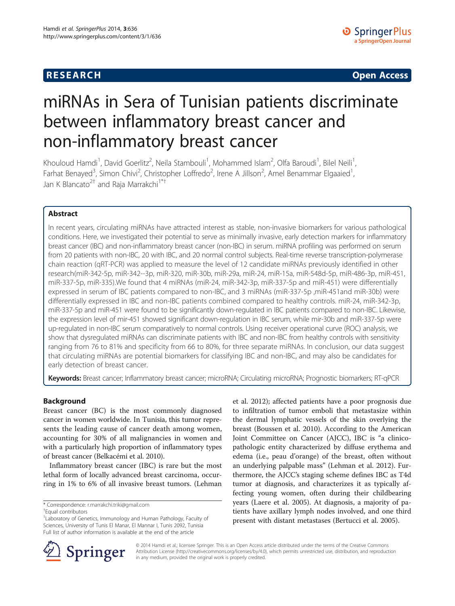## **RESEARCH CHE Open Access**

# miRNAs in Sera of Tunisian patients discriminate between inflammatory breast cancer and non-inflammatory breast cancer

Khouloud Hamdi<sup>1</sup>, David Goerlitz<sup>2</sup>, Neila Stambouli<sup>1</sup>, Mohammed Islam<sup>2</sup>, Olfa Baroudi<sup>1</sup>, Bilel Neili<sup>1</sup> , Farhat Benayed<sup>3</sup>, Simon Chivi<sup>2</sup>, Christopher Loffredo<sup>2</sup>, Irene A Jillson<sup>2</sup>, Amel Benammar Elgaaied<sup>1</sup> , Jan K Blancato<sup>2†</sup> and Raja Marrakchi<sup>1\*†</sup>

## Abstract

In recent years, circulating miRNAs have attracted interest as stable, non-invasive biomarkers for various pathological conditions. Here, we investigated their potential to serve as minimally invasive, early detection markers for inflammatory breast cancer (IBC) and non-inflammatory breast cancer (non-IBC) in serum. miRNA profiling was performed on serum from 20 patients with non-IBC, 20 with IBC, and 20 normal control subjects. Real-time reverse transcription-polymerase chain reaction (qRT-PCR) was applied to measure the level of 12 candidate miRNAs previously identified in other research(miR-342-5p, miR-342--3p, miR-320, miR-30b, miR-29a, miR-24, miR-15a, miR-548d-5p, miR-486-3p, miR-451, miR-337-5p, miR-335).We found that 4 miRNAs (miR-24, miR-342-3p, miR-337-5p and miR-451) were differentially expressed in serum of IBC patients compared to non-IBC, and 3 miRNAs (miR-337-5p ,miR-451and miR-30b) were differentially expressed in IBC and non-IBC patients combined compared to healthy controls. miR-24, miR-342-3p, miR-337-5p and miR-451 were found to be significantly down-regulated in IBC patients compared to non-IBC. Likewise, the expression level of mir-451 showed significant down-regulation in IBC serum, while mir-30b and miR-337-5p were up-regulated in non-IBC serum comparatively to normal controls. Using receiver operational curve (ROC) analysis, we show that dysregulated miRNAs can discriminate patients with IBC and non-IBC from healthy controls with sensitivity ranging from 76 to 81% and specificity from 66 to 80%, for three separate miRNAs. In conclusion, our data suggest that circulating miRNAs are potential biomarkers for classifying IBC and non-IBC, and may also be candidates for early detection of breast cancer.

Keywords: Breast cancer; Inflammatory breast cancer; microRNA; Circulating microRNA; Prognostic biomarkers; RT-qPCR

## Background

Breast cancer (BC) is the most commonly diagnosed cancer in women worldwide. In Tunisia, this tumor represents the leading cause of cancer death among women, accounting for 30% of all malignancies in women and with a particularly high proportion of inflammatory types of breast cancer (Belkacémi et al. [2010](#page-7-0)).

Inflammatory breast cancer (IBC) is rare but the most lethal form of locally advanced breast carcinoma, occurring in 1% to 6% of all invasive breast tumors. (Lehman

\* Correspondence: [r.marrakchi.triki@gmail.com](mailto:r.marrakchi.triki@gmail.com) †

Equal contributors

et al. [2012](#page-7-0)); affected patients have a poor prognosis due to infiltration of tumor emboli that metastasize within the dermal lymphatic vessels of the skin overlying the breast (Boussen et al. [2010](#page-7-0)). According to the American Joint Committee on Cancer (AJCC), IBC is "a clinicopathologic entity characterized by diffuse erythema and edema (i.e., peau d'orange) of the breast, often without an underlying palpable mass" (Lehman et al. [2012](#page-7-0)). Furthermore, the AJCC's staging scheme defines IBC as T4d tumor at diagnosis, and characterizes it as typically affecting young women, often during their childbearing years (Laere et al. [2005\)](#page-7-0). At diagnosis, a majority of patients have axillary lymph nodes involved, and one third present with distant metastases (Bertucci et al. [2005\)](#page-7-0).



© 2014 Hamdi et al.; licensee Springer. This is an Open Access article distributed under the terms of the Creative Commons Attribution License [\(http://creativecommons.org/licenses/by/4.0\)](http://creativecommons.org/licenses/by/4.0), which permits unrestricted use, distribution, and reproduction in any medium, provided the original work is properly credited.

<sup>&</sup>lt;sup>1</sup> Laboratory of Genetics, Immunology and Human Pathology, Faculty of Sciences, University of Tunis El Manar, El Mannar I, Tunis 2092, Tunisia Full list of author information is available at the end of the article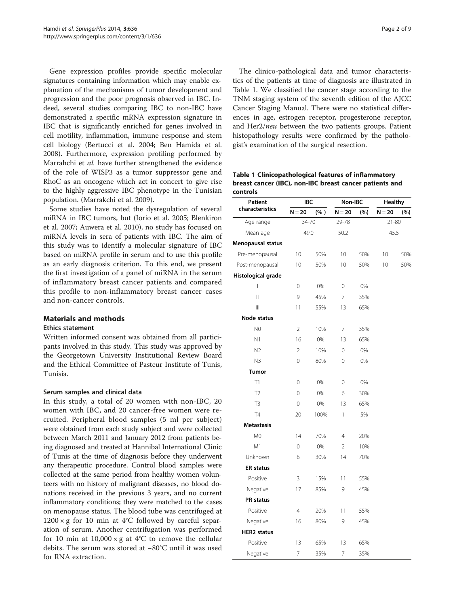Gene expression profiles provide specific molecular signatures containing information which may enable explanation of the mechanisms of tumor development and progression and the poor prognosis observed in IBC. Indeed, several studies comparing IBC to non-IBC have demonstrated a specific mRNA expression signature in IBC that is significantly enriched for genes involved in cell motility, inflammation, immune response and stem cell biology (Bertucci et al. [2004](#page-7-0); Ben Hamida et al. [2008](#page-7-0)). Furthermore, expression profiling performed by Marrahchi et al. have further strengthened the evidence of the role of WISP3 as a tumor suppressor gene and RhoC as an oncogene which act in concert to give rise to the highly aggressive IBC phenotype in the Tunisian population. (Marrakchi et al. [2009\)](#page-7-0).

Some studies have noted the dysregulation of several miRNA in IBC tumors, but (Iorio et al. [2005;](#page-7-0) Blenkiron et al. [2007](#page-7-0); Auwera et al. [2010\)](#page-7-0), no study has focused on miRNA levels in sera of patients with IBC. The aim of this study was to identify a molecular signature of IBC based on miRNA profile in serum and to use this profile as an early diagnosis criterion. To this end, we present the first investigation of a panel of miRNA in the serum of inflammatory breast cancer patients and compared this profile to non-inflammatory breast cancer cases and non-cancer controls.

## Materials and methods

## Ethics statement

Written informed consent was obtained from all participants involved in this study. This study was approved by the Georgetown University Institutional Review Board and the Ethical Committee of Pasteur Institute of Tunis, Tunisia.

## Serum samples and clinical data

In this study, a total of 20 women with non-IBC, 20 women with IBC, and 20 cancer-free women were recruited. Peripheral blood samples (5 ml per subject) were obtained from each study subject and were collected between March 2011 and January 2012 from patients being diagnosed and treated at Hannibal International Clinic of Tunis at the time of diagnosis before they underwent any therapeutic procedure. Control blood samples were collected at the same period from healthy women volunteers with no history of malignant diseases, no blood donations received in the previous 3 years, and no current inflammatory conditions; they were matched to the cases on menopause status. The blood tube was centrifuged at  $1200 \times g$  for 10 min at 4°C followed by careful separation of serum. Another centrifugation was performed for 10 min at  $10,000 \times g$  at 4°C to remove the cellular debits. The serum was stored at −80°C until it was used for RNA extraction.

The clinico-pathological data and tumor characteristics of the patients at time of diagnosis are illustrated in Table 1. We classified the cancer stage according to the TNM staging system of the seventh edition of the AJCC Cancer Staging Manual. There were no statistical differences in age, estrogen receptor, progesterone receptor, and Her2/*neu* between the two patients groups. Patient histopathology results were confirmed by the pathologist's examination of the surgical resection.

Table 1 Clinicopathological features of inflammatory breast cancer (IBC), non-IBC breast cancer patients and controls

| Patient<br>characteristics | IBC            |         | Non-IBC        |     | <b>Healthy</b> |     |
|----------------------------|----------------|---------|----------------|-----|----------------|-----|
|                            | $N = 20$       | $(\% )$ | $N = 20$       | (%) | $N = 20$       | (%) |
| Age range                  | 34-70          |         | 29-78          |     | 21-80          |     |
| Mean age                   | 49.0           |         | 50.2           |     | 45.5           |     |
| Menopausal status          |                |         |                |     |                |     |
| Pre-menopausal             | 10             | 50%     | 10             | 50% | 10             | 50% |
| Post-menopausal            | 10             | 50%     | 10             | 50% | 10             | 50% |
| Histological grade         |                |         |                |     |                |     |
| I                          | 0              | 0%      | $\mathbf 0$    | 0%  |                |     |
| $\mathop{  }$              | 9              | 45%     | 7              | 35% |                |     |
| $\mathbb{H}$               | 11             | 55%     | 13             | 65% |                |     |
| Node status                |                |         |                |     |                |     |
| N <sub>0</sub>             | $\overline{2}$ | 10%     | 7              | 35% |                |     |
| N1                         | 16             | 0%      | 13             | 65% |                |     |
| N2                         | $\overline{2}$ | 10%     | 0              | 0%  |                |     |
| N3                         | 0              | 80%     | $\mathbf 0$    | 0%  |                |     |
| <b>Tumor</b>               |                |         |                |     |                |     |
| T1                         | 0              | 0%      | $\mathbf 0$    | 0%  |                |     |
| T <sub>2</sub>             | 0              | 0%      | 6              | 30% |                |     |
| T <sub>3</sub>             | 0              | 0%      | 13             | 65% |                |     |
| <b>T4</b>                  | 20             | 100%    | 1              | 5%  |                |     |
| <b>Metastasis</b>          |                |         |                |     |                |     |
| M <sub>0</sub>             | 14             | 70%     | $\overline{4}$ | 20% |                |     |
| M1                         | 0              | 0%      | $\overline{2}$ | 10% |                |     |
| Unknown                    | 6              | 30%     | 14             | 70% |                |     |
| <b>ER status</b>           |                |         |                |     |                |     |
| Positive                   | 3              | 15%     | 11             | 55% |                |     |
| Negative                   | 17             | 85%     | 9              | 45% |                |     |
| PR status                  |                |         |                |     |                |     |
| Positive                   | $\overline{4}$ | 20%     | 11             | 55% |                |     |
| Negative                   | 16             | 80%     | 9              | 45% |                |     |
| <b>HER2</b> status         |                |         |                |     |                |     |
| Positive                   | 13             | 65%     | 13             | 65% |                |     |
| Negative                   | 7              | 35%     | 7              | 35% |                |     |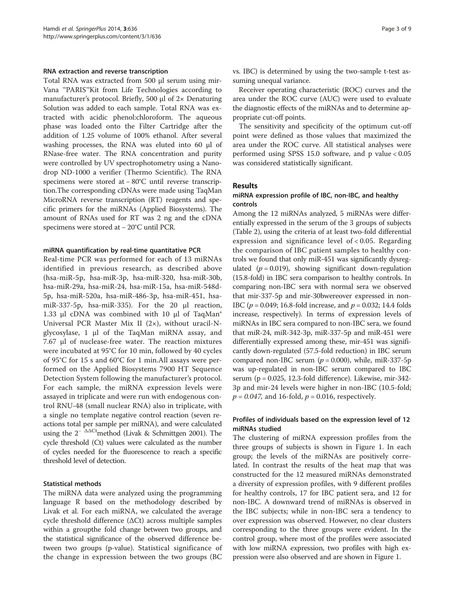#### RNA extraction and reverse transcription

Total RNA was extracted from 500 μl serum using mir-Vana ™PARIS™Kit from Life Technologies according to manufacturer's protocol. Briefly, 500 μl of 2× Denaturing Solution was added to each sample. Total RNA was extracted with acidic phenol:chloroform. The aqueous phase was loaded onto the Filter Cartridge after the addition of 1.25 volume of 100% ethanol. After several washing processes, the RNA was eluted into 60 μl of RNase-free water. The RNA concentration and purity were controlled by UV spectrophotometry using a Nanodrop ND-1000 a verifier (Thermo Scientific). The RNA specimens were stored at −80°C until reverse transcription.The corresponding cDNAs were made using TaqMan MicroRNA reverse transcription (RT) reagents and specific primers for the miRNAs (Applied Biosystems). The amount of RNAs used for RT was 2 ng and the cDNA specimens were stored at − 20°C until PCR.

#### miRNA quantification by real-time quantitative PCR

Real-time PCR was performed for each of 13 miRNAs identified in previous research, as described above (hsa-miR-5p, hsa-miR-3p, hsa-miR-320, hsa-miR-30b, hsa-miR-29a, hsa-miR-24, hsa-miR-15a, hsa-miR-548d-5p, hsa-miR-520a, hsa-miR-486-3p, hsa-miR-451, hsamiR-337-5p, hsa-miR-335). For the 20 μl reaction, 1.33 μl cDNA was combined with 10 μl of TaqMan® Universal PCR Master Mix II (2×), without uracil-Nglycosylase, 1 μl of the TaqMan miRNA assay, and 7.67 μl of nuclease-free water. The reaction mixtures were incubated at 95°C for 10 min, followed by 40 cycles of 95°C for 15 s and 60°C for 1 min.All assays were performed on the Applied Biosystems 7900 HT Sequence Detection System following the manufacturer's protocol. For each sample, the miRNA expression levels were assayed in triplicate and were run with endogenous control RNU-48 (small nuclear RNA) also in triplicate, with a single no template negative control reaction (seven reactions total per sample per miRNA), and were calculated using the  $2^{-\Delta\Delta Ct}$ method (Livak & Schmittgen [2001](#page-7-0)). The cycle threshold (Ct) values were calculated as the number of cycles needed for the fluorescence to reach a specific threshold level of detection.

#### Statistical methods

The miRNA data were analyzed using the programming language R based on the methodology described by Livak et al. For each miRNA, we calculated the average cycle threshold difference  $(\Delta Ct)$  across multiple samples within a groupthe fold change between two groups, and the statistical significance of the observed difference between two groups (p-value). Statistical significance of the change in expression between the two groups (BC vs. IBC) is determined by using the two-sample t-test assuming unequal variance.

Receiver operating characteristic (ROC) curves and the area under the ROC curve (AUC) were used to evaluate the diagnostic effects of the miRNAs and to determine appropriate cut-off points.

The sensitivity and specificity of the optimum cut-off point were defined as those values that maximized the area under the ROC curve. All statistical analyses were performed using SPSS 15.0 software, and p value < 0.05 was considered statistically significant.

## Results

## miRNA expression profile of IBC, non-IBC, and healthy controls

Among the 12 miRNAs analyzed, 5 miRNAs were differentially expressed in the serum of the 3 groups of subjects (Table [2](#page-3-0)), using the criteria of at least two-fold differential expression and significance level of < 0.05. Regarding the comparison of IBC patient samples to healthy controls we found that only miR-451 was significantly dysregulated ( $p = 0.019$ ), showing significant down-regulation (15.8-fold) in IBC sera comparison to healthy controls. In comparing non-IBC sera with normal sera we observed that mir-337-5p and mir-30bwereover expressed in non-IBC ( $p = 0.049$ ; 16.8-fold increase, and  $p = 0.032$ ; 14.4 folds increase, respectively). In terms of expression levels of miRNAs in IBC sera compared to non-IBC sera, we found that miR-24, miR-342-3p, miR-337-5p and miR-451 were differentially expressed among these, mir-451 was significantly down-regulated (57.5-fold reduction) in IBC serum compared non-IBC serum ( $p = 0.000$ ), while, miR-337-5p was up-regulated in non-IBC serum compared to IBC serum (p = 0.025, 12.3-fold difference). Likewise, mir-342- 3p and mir-24 levels were higher in non-IBC (10.5-fold;  $p = 0.047$ , and 16-fold,  $p = 0.016$ , respectively.

## Profiles of individuals based on the expression level of 12 miRNAs studied

The clustering of miRNA expression profiles from the three groups of subjects is shown in Figure [1](#page-4-0). In each group; the levels of the miRNAs are positively correlated. In contrast the results of the heat map that was constructed for the 12 measured miRNAs demonstrated a diversity of expression profiles, with 9 different profiles for healthy controls, 17 for IBC patient sera, and 12 for non-IBC. A downward trend of miRNAs is observed in the IBC subjects; while in non-IBC sera a tendency to over expression was observed. However, no clear clusters corresponding to the three groups were evident. In the control group, where most of the profiles were associated with low miRNA expression, two profiles with high expression were also observed and are shown in Figure [1.](#page-4-0)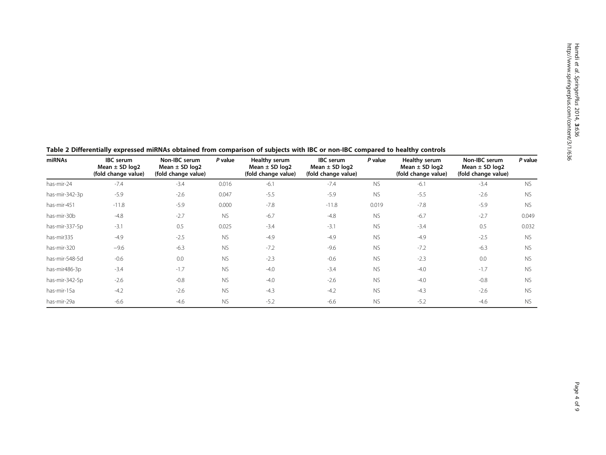Hamdi et

| miRNAs         | <b>IBC</b> serum<br>Mean $\pm$ SD log2<br>(fold change value) | Non-IBC serum<br>Mean $\pm$ SD log2<br>(fold change value) | P value   | Healthy serum<br>Mean $\pm$ SD log2<br>(fold change value) | <b>IBC</b> serum<br>Mean $\pm$ SD log2<br>(fold change value) | P value   | Healthy serum<br>Mean $\pm$ SD log2<br>(fold change value) | Non-IBC serum<br>Mean $\pm$ SD log2<br>(fold change value) | P value   |
|----------------|---------------------------------------------------------------|------------------------------------------------------------|-----------|------------------------------------------------------------|---------------------------------------------------------------|-----------|------------------------------------------------------------|------------------------------------------------------------|-----------|
| has-mir-24     | $-7.4$                                                        | $-3.4$                                                     | 0.016     | $-6.1$                                                     | $-7.4$                                                        | <b>NS</b> | $-6.1$                                                     | $-3.4$                                                     | <b>NS</b> |
| has-mir-342-3p | $-5.9$                                                        | $-2.6$                                                     | 0.047     | $-5.5$                                                     | $-5.9$                                                        | <b>NS</b> | $-5.5$                                                     | $-2.6$                                                     | <b>NS</b> |
| has-mir-451    | $-11.8$                                                       | $-5.9$                                                     | 0.000     | $-7.8$                                                     | $-11.8$                                                       | 0.019     | $-7.8$                                                     | $-5.9$                                                     | <b>NS</b> |
| has-mir-30b    | $-4.8$                                                        | $-2.7$                                                     | <b>NS</b> | $-6.7$                                                     | $-4.8$                                                        | <b>NS</b> | $-6.7$                                                     | $-2.7$                                                     | 0.049     |
| has-mir-337-5p | $-3.1$                                                        | 0.5                                                        | 0.025     | $-3.4$                                                     | $-3.1$                                                        | <b>NS</b> | $-3.4$                                                     | 0.5                                                        | 0.032     |
| has-mir335     | $-4.9$                                                        | $-2.5$                                                     | <b>NS</b> | $-4.9$                                                     | $-4.9$                                                        | <b>NS</b> | $-4.9$                                                     | $-2.5$                                                     | <b>NS</b> |
| has-mir-320    | $-9.6$                                                        | $-6.3$                                                     | <b>NS</b> | $-7.2$                                                     | $-9.6$                                                        | <b>NS</b> | $-7.2$                                                     | $-6.3$                                                     | <b>NS</b> |
| has-mir-548-5d | $-0.6$                                                        | 0.0                                                        | <b>NS</b> | $-2.3$                                                     | $-0.6$                                                        | <b>NS</b> | $-2.3$                                                     | 0.0                                                        | <b>NS</b> |
| has-mir486-3p  | $-3.4$                                                        | $-1.7$                                                     | <b>NS</b> | $-4.0$                                                     | $-3.4$                                                        | <b>NS</b> | $-4.0$                                                     | $-1.7$                                                     | <b>NS</b> |
| has-mir-342-5p | $-2.6$                                                        | $-0.8$                                                     | <b>NS</b> | $-4.0$                                                     | $-2.6$                                                        | <b>NS</b> | $-4.0$                                                     | $-0.8$                                                     | <b>NS</b> |
| has-mir-15a    | $-4.2$                                                        | $-2.6$                                                     | <b>NS</b> | $-4.3$                                                     | $-4.2$                                                        | <b>NS</b> | $-4.3$                                                     | $-2.6$                                                     | <b>NS</b> |
| has-mir-29a    | $-6.6$                                                        | $-4.6$                                                     | <b>NS</b> | $-5.2$                                                     | $-6.6$                                                        | <b>NS</b> | $-5.2$                                                     | $-4.6$                                                     | <b>NS</b> |

<span id="page-3-0"></span>Table 2 Differentially expressed miRNAs obtained from comparison of subjects with IBC or non-IBC compared to healthy controls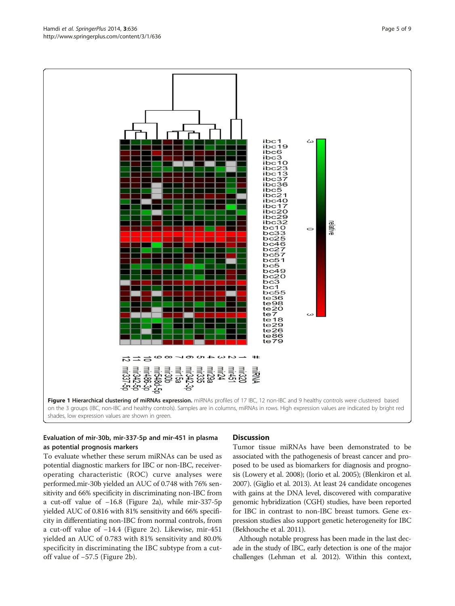<span id="page-4-0"></span>



## Evaluation of mir-30b, mir-337-5p and mir-451 in plasma as potential prognosis markers

To evaluate whether these serum miRNAs can be used as potential diagnostic markers for IBC or non-IBC, receiveroperating characteristic (ROC) curve analyses were performed.mir-30b yielded an AUC of 0.748 with 76% sensitivity and 66% specificity in discriminating non-IBC from a cut-off value of −16.8 (Figure [2a](#page-5-0)), while mir-337-5p yielded AUC of 0.816 with 81% sensitivity and 66% specificity in differentiating non-IBC from normal controls, from a cut-off value of −14.4 (Figure [2](#page-5-0)c). Likewise, mir-451 yielded an AUC of 0.783 with 81% sensitivity and 80.0% specificity in discriminating the IBC subtype from a cutoff value of −57.5 (Figure [2b](#page-5-0)).

#### **Discussion**

Tumor tissue miRNAs have been demonstrated to be associated with the pathogenesis of breast cancer and proposed to be used as biomarkers for diagnosis and prognosis (Lowery et al. [2008](#page-7-0)); (Iorio et al. [2005](#page-7-0)); (Blenkiron et al. [2007\)](#page-7-0). (Giglio et al. [2013](#page-7-0)). At least 24 candidate oncogenes with gains at the DNA level, discovered with comparative genomic hybridization (CGH) studies, have been reported for IBC in contrast to non-IBC breast tumors. Gene expression studies also support genetic heterogeneity for IBC (Bekhouche et al. [2011\)](#page-7-0).

Although notable progress has been made in the last decade in the study of IBC, early detection is one of the major challenges (Lehman et al. [2012\)](#page-7-0). Within this context,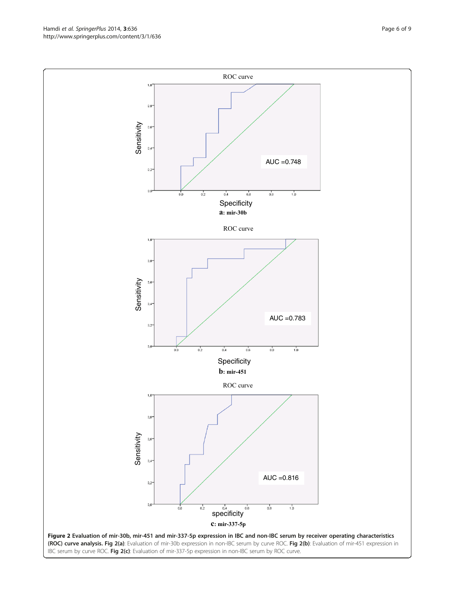IBC serum by curve ROC. Fig 2(c): Evaluation of mir-337-5p expression in non-IBC serum by ROC curve.

<span id="page-5-0"></span>

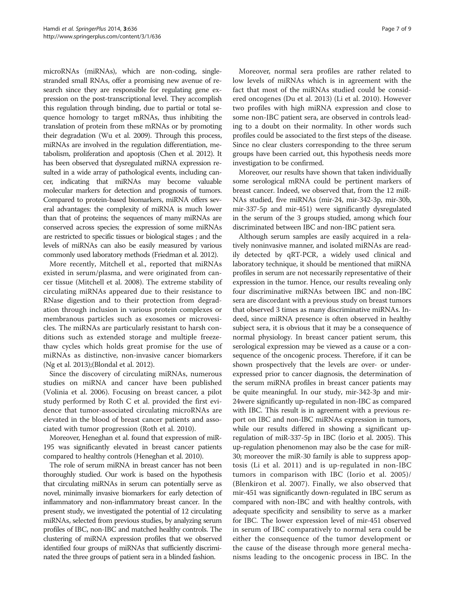microRNAs (miRNAs), which are non-coding, singlestranded small RNAs, offer a promising new avenue of research since they are responsible for regulating gene expression on the post-transcriptional level. They accomplish this regulation through binding, due to partial or total sequence homology to target mRNAs, thus inhibiting the translation of protein from these mRNAs or by promoting their degradation (Wu et al. [2009\)](#page-8-0). Through this process, miRNAs are involved in the regulation differentiation, metabolism, proliferation and apoptosis (Chen et al. [2012\)](#page-7-0). It has been observed that dysregulated miRNA expression resulted in a wide array of pathological events, including cancer, indicating that miRNAs may become valuable molecular markers for detection and prognosis of tumors. Compared to protein-based biomarkers, miRNA offers several advantages: the complexity of miRNA is much lower than that of proteins; the sequences of many miRNAs are conserved across species; the expression of some miRNAs are restricted to specific tissues or biological stages ; and the levels of miRNAs can also be easily measured by various commonly used laboratory methods (Friedman et al. [2012\)](#page-7-0).

More recently, Mitchell et al., reported that miRNAs existed in serum/plasma, and were originated from cancer tissue (Mitchell et al. [2008\)](#page-7-0). The extreme stability of circulating miRNAs appeared due to their resistance to RNase digestion and to their protection from degradation through inclusion in various protein complexes or membranous particles such as exosomes or microvesicles. The miRNAs are particularly resistant to harsh conditions such as extended storage and multiple freezethaw cycles which holds great promise for the use of miRNAs as distinctive, non-invasive cancer biomarkers (Ng et al. [2013](#page-7-0));(Blondal et al. [2012](#page-7-0)).

Since the discovery of circulating miRNAs, numerous studies on miRNA and cancer have been published (Volinia et al. [2006\)](#page-8-0). Focusing on breast cancer, a pilot study performed by Roth C et al. provided the first evidence that tumor-associated circulating microRNAs are elevated in the blood of breast cancer patients and associated with tumor progression (Roth et al. [2010](#page-8-0)).

Moreover, Heneghan et al. found that expression of miR-195 was significantly elevated in breast cancer patients compared to healthy controls (Heneghan et al. [2010\)](#page-7-0).

The role of serum miRNA in breast cancer has not been thoroughly studied. Our work is based on the hypothesis that circulating miRNAs in serum can potentially serve as novel, minimally invasive biomarkers for early detection of inflammatory and non-inflammatory breast cancer. In the present study, we investigated the potential of 12 circulating miRNAs, selected from previous studies, by analyzing serum profiles of IBC, non-IBC and matched healthy controls. The clustering of miRNA expression profiles that we observed identified four groups of miRNAs that sufficiently discriminated the three groups of patient sera in a blinded fashion.

Moreover, normal sera profiles are rather related to low levels of miRNAs which is in agreement with the fact that most of the miRNAs studied could be considered oncogenes (Du et al. [2013\)](#page-7-0) (Li et al. [2010\)](#page-7-0). However two profiles with high miRNA expression and close to some non-IBC patient sera, are observed in controls leading to a doubt on their normality. In other words such profiles could be associated to the first steps of the disease. Since no clear clusters corresponding to the three serum groups have been carried out, this hypothesis needs more investigation to be confirmed.

Moreover, our results have shown that taken individually some serological mRNA could be pertinent markers of breast cancer. Indeed, we observed that, from the 12 miR-NAs studied, five miRNAs (mir-24, mir-342-3p, mir-30b, mir-337-5p and mir-451) were significantly dysregulated in the serum of the 3 groups studied, among which four discriminated between IBC and non-IBC patient sera.

Although serum samples are easily acquired in a relatively noninvasive manner, and isolated miRNAs are readily detected by qRT-PCR, a widely used clinical and laboratory technique, it should be mentioned that miRNA profiles in serum are not necessarily representative of their expression in the tumor. Hence, our results revealing only four discriminative miRNAs between IBC and non-IBC sera are discordant with a previous study on breast tumors that observed 3 times as many discriminative miRNAs. Indeed, since miRNA presence is often observed in healthy subject sera, it is obvious that it may be a consequence of normal physiology. In breast cancer patient serum, this serological expression may be viewed as a cause or a consequence of the oncogenic process. Therefore, if it can be shown prospectively that the levels are over- or underexpressed prior to cancer diagnosis, the determination of the serum miRNA profiles in breast cancer patients may be quite meaningful. In our study, mir-342-3p and mir-24were significantly up-regulated in non-IBC as compared with IBC. This result is in agreement with a previous report on IBC and non-IBC miRNAs expression in tumors, while our results differed in showing a significant upregulation of miR-337-5p in IBC (Iorio et al. [2005\)](#page-7-0). This up-regulation phenomenon may also be the case for miR-30; moreover the miR-30 family is able to suppress apoptosis (Li et al. [2011\)](#page-7-0) and is up-regulated in non-IBC tumors in comparison with IBC (Iorio et al. [2005\)](#page-7-0)/ (Blenkiron et al. [2007\)](#page-7-0). Finally, we also observed that mir-451 was significantly down-regulated in IBC serum as compared with non-IBC and with healthy controls, with adequate specificity and sensibility to serve as a marker for IBC. The lower expression level of mir-451 observed in serum of IBC comparatively to normal sera could be either the consequence of the tumor development or the cause of the disease through more general mechanisms leading to the oncogenic process in IBC. In the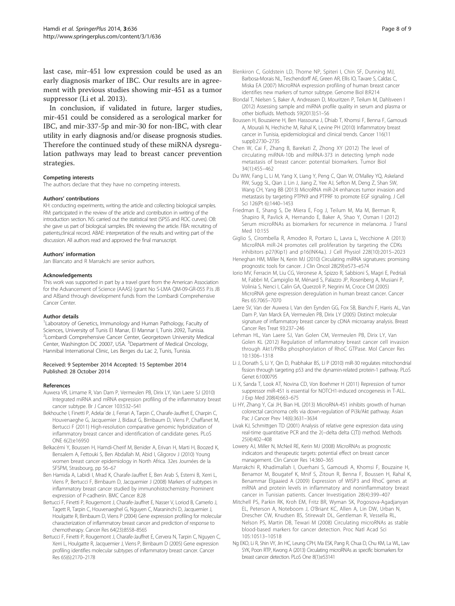<span id="page-7-0"></span>last case, mir-451 low expression could be used as an early diagnosis marker of IBC. Our results are in agreement with previous studies showing mir-451 as a tumor suppressor (Li et al. 2013).

In conclusion, if validated in future, larger studies, mir-451 could be considered as a serological marker for IBC, and mir-337-5p and mir-30 for non-IBC, with clear utility in early diagnosis and/or disease prognosis studies. Therefore the continued study of these miRNA dysregulation pathways may lead to breast cancer prevention strategies.

#### Competing interests

The authors declare that they have no competing interests.

#### Authors' contributions

KH: conducting experiments, writing the article and collecting biological samples. RM: participated in the review of the article and contribution in writing of the introduction section. NS: carried out the statistical test (SPSS and ROC curves). OB: she gave us part of biological samples. BN: reviewing the article. FBA: recruiting of patients,clinical record. ABAE: interpretation of the results and writing part of the discussion. All authors read and approved the final manuscript.

#### Authors' information

Jan Blancato and R Marrakchi are senior authors.

#### Acknowledgements

This work was supported in part by a travel grant from the American Association for the Advancement of Science (AAAS) (grant No S-LMA QM-09-GR-055 P.Is JB and AB)and through development funds from the Lombardi Comprehensive Cancer Center.

#### Author details

<sup>1</sup> Laboratory of Genetics, Immunology and Human Pathology, Faculty of Sciences, University of Tunis El Manar, El Mannar I, Tunis 2092, Tunisia. 2 Lombardi Comprehensive Cancer Center, Georgetown University Medical Center, Washington DC 20007, USA. <sup>3</sup>Department of Medical Oncology, Hannibal International Clinic, Les Berges du Lac 2, Tunis, Tunisia.

#### Received: 9 September 2014 Accepted: 15 September 2014 Published: 28 October 2014

#### References

- Auwera VR, Limame R, Van Dam P, Vermeulen PB, Dirix LY, Van Laere SJ (2010) Integrated miRNA and mRNA expression profiling of the inflammatory breast cancer subtype. Br J Cancer 103:532–541
- Bekhouche I, Finetti P, Adelaı¨de J, Ferrari A, Tarpin C, Charafe-Jauffret E, Charpin C, Houvenaeghe G, Jacquemier J, Bidaut G, Birnbaum D, Viens P, Chaffanet M, Bertucci F (2011) High-resolution comparative genomic hybridization of inflammatory breast cancer and identification of candidate genes. PLoS ONE 6(2):e16950
- Belkacémi Y, Boussen H, Hamdi-Cherif M, Benider A, Erivan H, Marti H, Boozed K, Bensalem A, Fettouki S, Ben Abdallah M, Abid I, Gligorov J (2010) Young women breast cancer epidemiology in North Africa. 32es Journées de la SFSPM, Strasbourg, pp 56–67
- Ben Hamida A, Labidi I, Mrad K, Charafe-Jauffret E, Ben Arab S, Esterni B, Xerri L, Viens P, Bertucci F, Birnbaum D, Jacquemier J (2008) Markers of subtypes in inflammatory breast cancer studied by immunohistochemistry: Prominent expression of P-cadherin. BMC Cancer 8:28
- Bertucci F, Finetti P, Rougemont J, Charafe-Jauffret E, Nasser V, Loriod B, Camerlo J, Tagett R, Tarpin C, Houvenaeghel G, Nguyen C, Maraninchi D, Jacquemier J, Houlgatte R, Birnbaum D, Viens P (2004) Gene expression profiling for molecular characterization of inflammatory breast cancer and prediction of response to chemotherapy. Cancer Res 64(23):8558–8565
- Bertucci F, Finetti P, Rougemont J, Charafe-Jauffret E, Cervera N, Tarpin C, Nguyen C, Xerri L, Houlgatte R, Jacquemier J, Viens P, Birnbaum D (2005) Gene expression profiling identifies molecular subtypes of inflammatory breast cancer. Cancer Res 65(6):2170–2178
- Blenkiron C, Goldstein LD, Thorne NP, Spiteri I, Chin SF, Dunning MJ, Barbosa-Morais NL, Teschendorff AE, Green AR, Ellis IO, Tavare S, Caldas C, Miska EA (2007) MicroRNA expression profiling of human breast cancer identifies new markers of tumor subtype. Genome Biol 8:R214
- Blondal T, Nielsen S, Baker A, Andreasen D, Mouritzen P, Teilum M, Dahlsveen I (2012) Assessing sample and miRNA profile quality in serum and plasma or other biofluids. Methods 59(2013):S1–S6
- Boussen H, Bouzaiene H, Ben Hassouna J, Dhiab T, Khomsi F, Benna F, Gamoudi A, Mourali N, Hechiche M, Rahal K, Levine PH (2010) Inflammatory breast cancer in Tunisia, epidemiological and clinical trends. Cancer 116(11 suppl):2730–2735
- Chen W, Cai F, Zhang B, Barekati Z, Zhong XY (2012) The level of circulating miRNA-10b and miRNA-373 in detecting lymph node metastasis of breast cancer: potential biomarkers. Tumor Biol 34(1):455–462
- Du WW, Fang L, Li M, Yang X, Liang Y, Peng C, Qian W, O'Malley YQ, Askeland RW, Sugg SL, Qian J, Lin J, Jiang Z, Yee AJ, Sefton M, Deng Z, Shan SW, Wang CH, Yang BB (2013) MicroRNA miR-24 enhances tumor invasion and metastasis by targeting PTPN9 and PTPRF to promote EGF signaling. J Cell Sci 126(Pt 6):1440–1453
- Friedman E, Shang S, De Miera E, Fog J, Teilum M, Ma M, Berman R, Shapiro R, Pavlick A, Hernando E, Baker A, Shao Y, Osman I (2012) Serum microRNAs as biomarkers for recurrence in melanoma. J Transl Med 10:155
- Giglio S, Cirombella R, Amodeo R, Portaro L, Lavra L, Vecchione A (2013) MicroRNA miR-24 promotes cell proliferation by targeting the CDKs inhibitors p27(Kip1) and p16(INK4a.). J Cell Physiol 228(10):2015–2023
- Heneghan HM, Miller N, Kerin MJ (2010) Circulating miRNA signatures: promising prognostic tools for cancer. J Clin Oncol 28(29):e573–e574
- Iorio MV, Ferracin M, Liu CG, Veronese A, Spizzo R, Sabbioni S, Magri E, Pedriali M, Fabbri M, Campiglio M, Ménard S, Palazzo JP, Rosenberg A, Musiani P, Volinia S, Nenci I, Calin GA, Querzoli P, Negrini M, Croce CM (2005) MicroRNA gene expression deregulation in human breast cancer. Cancer Res 65:7065–7070
- Laere SV, Van der Auwera I, Van den Eynden GG, Fox SB, Bianchi F, Harris AL, Van Dam P, Van Marck EA, Vermeulen PB, Dirix LY (2005) Distinct molecular signature of inflammatory breast cancer by cDNA microarray analysis. Breast Cancer Res Treat 93:237–246
- Lehman HL, Van Laere SJ, Van Golen CM, Vermeulen PB, Dirix LY, Van Golen KL (2012) Regulation of inflammatory breast cancer cell invasion through Akt1/PKBα phosphorylation of RhoC GTPase. Mol Cancer Res 10:1306–1318
- Li J, Donath S, Li Y, Qin D, Prabhakar BS, Li P (2010) miR-30 regulates mitochondrial fission through targeting p53 and the dynamin-related protein-1 pathway. PLoS Genet 6:1000795
- Li X, Sanda T, Look AT, Novina CD, Von Boehmer H (2011) Repression of tumor suppressor miR-451 is essential for NOTCH1-induced oncogenesis in T-ALL. J Exp Med 208(4):663–675
- Li HY, Zhang Y, Cai JH, Bian HL (2013) MicroRNA-451 inhibits growth of human colorectal carcinoma cells via down-regulation of Pi3k/Akt pathway. Asian Pac J Cancer Prev 14(6):3631–3634
- Livak KJ, Schmittgen TD (2001) Analysis of relative gene expression data using real-time quantitative PCR and the 2(−delta delta C(T)) method. Methods 25(4):402–408
- Lowery AJ, Miller N, McNeil RE, Kerin MJ (2008) MicroRNAs as prognostic indicators and therapeutic targets: potential effect on breast cancer management. Clin Cancer Res 14:360–365
- Marrakchi R, Khadimallah I, Ouerhani S, Gamoudi A, Khomsi F, Bouzaine H, Benamor M, Bougatef K, Mnif S, Zitoun R, Benna F, Boussen H, Rahal K, Benammar Elgaaied A (2009) Expression of WISP3 and RhoC genes at mRNA and protein levels in inflammatory and noninflammatory breast cancer in Tunisian patients. Cancer Investigation 28(4):399–407
- Mitchell PS, Parkin RK, Kroh EM, Fritz BR, Wyman SK, Pogosova-Agadjanyan EL, Peterson A, Noteboom J, O'Briant KC, Allen A, Lin DW, Urban N, Drescher CW, Knudsen BS, Stirewalt DL, Gentleman R, Vessella RL, Nelson PS, Martin DB, Tewari M (2008) Circulating microRNAs as stable blood-based markers for cancer detection. Proc Natl Acad Sci 105:10513–10518
- Ng EKO, Li R, Shin VY, Jin HC, Leung CPH, Ma ESK, Pang R, Chua D, Chu KM, La WL, Law SYK, Poon RTP, Kwong A (2013) Circulating microRNAs as specific biomarkers for breast cancer detection. PLoS One 8(1):e53141